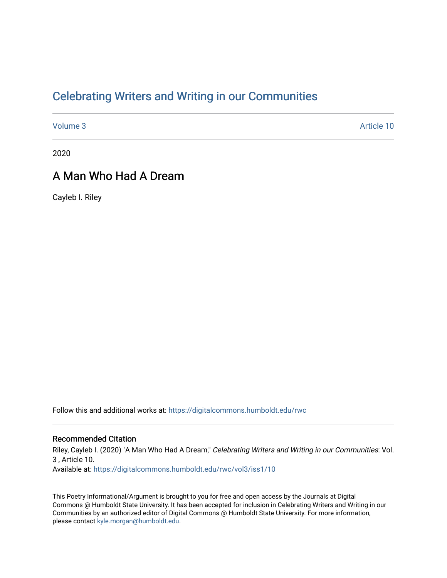## [Celebrating Writers and Writing in our Communities](https://digitalcommons.humboldt.edu/rwc)

[Volume 3](https://digitalcommons.humboldt.edu/rwc/vol3) Article 10

2020

### A Man Who Had A Dream

Cayleb I. Riley

Follow this and additional works at: [https://digitalcommons.humboldt.edu/rwc](https://digitalcommons.humboldt.edu/rwc?utm_source=digitalcommons.humboldt.edu%2Frwc%2Fvol3%2Fiss1%2F10&utm_medium=PDF&utm_campaign=PDFCoverPages) 

#### Recommended Citation

Riley, Cayleb I. (2020) "A Man Who Had A Dream," Celebrating Writers and Writing in our Communities: Vol. 3 , Article 10. Available at: [https://digitalcommons.humboldt.edu/rwc/vol3/iss1/10](https://digitalcommons.humboldt.edu/rwc/vol3/iss1/10?utm_source=digitalcommons.humboldt.edu%2Frwc%2Fvol3%2Fiss1%2F10&utm_medium=PDF&utm_campaign=PDFCoverPages) 

This Poetry Informational/Argument is brought to you for free and open access by the Journals at Digital Commons @ Humboldt State University. It has been accepted for inclusion in Celebrating Writers and Writing in our Communities by an authorized editor of Digital Commons @ Humboldt State University. For more information, please contact [kyle.morgan@humboldt.edu.](mailto:kyle.morgan@humboldt.edu)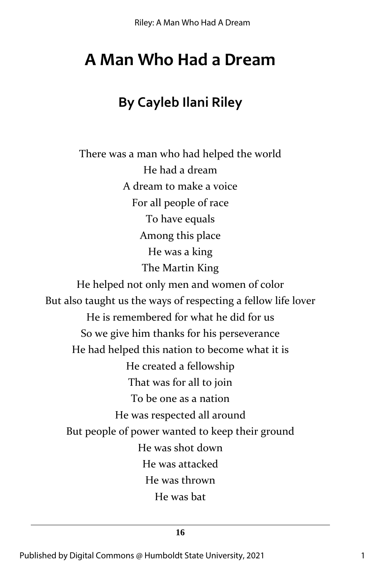# **A Man Who Had a Dream**

# **By Cayleb Ilani Riley**

There was a man who had helped the world He had a dream A dream to make a voice For all people of race To have equals Among this place He was a king The Martin King He helped not only men and women of color But also taught us the ways of respecting a fellow life lover He is remembered for what he did for us So we give him thanks for his perseverance He had helped this nation to become what it is He created a fellowship That was for all to join To be one as a nation He was respected all around But people of power wanted to keep their ground He was shot down He was attacked He was thrown He was bat